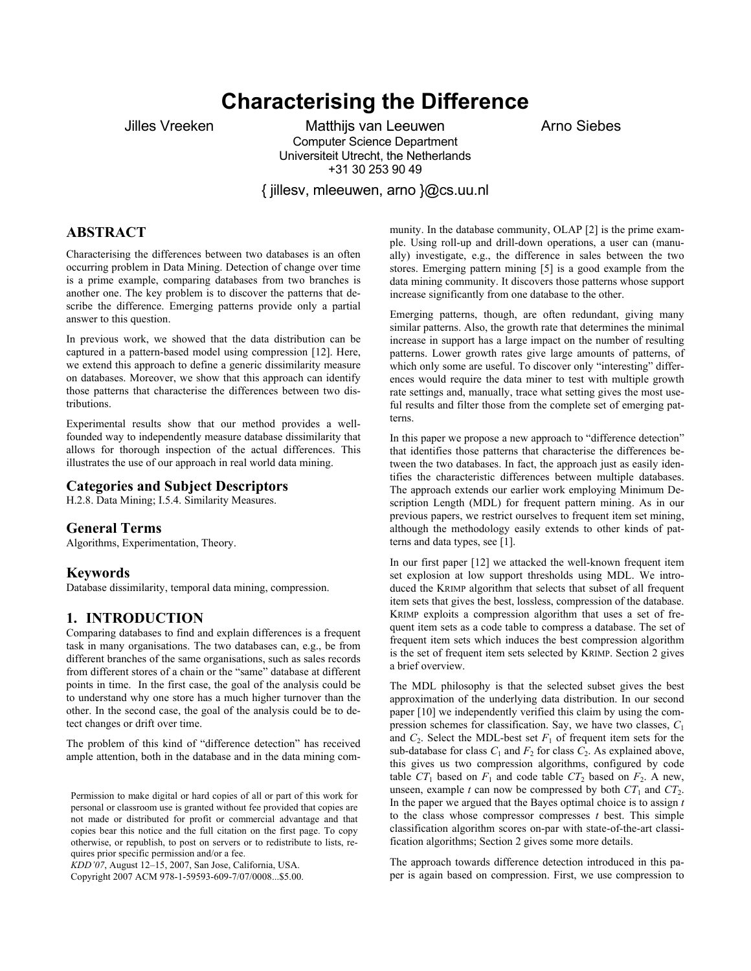# **Characterising the Difference**

Jilles Vreeken Matthijs van Leeuwen Matthijs van Arno Siebes Computer Science Department Universiteit Utrecht, the Netherlands +31 30 253 90 49

{ jillesv, mleeuwen, arno }@cs.uu.nl

# **ABSTRACT**

Characterising the differences between two databases is an often occurring problem in Data Mining. Detection of change over time is a prime example, comparing databases from two branches is another one. The key problem is to discover the patterns that describe the difference. Emerging patterns provide only a partial answer to this question.

In previous work, we showed that the data distribution can be captured in a pattern-based model using compression [12]. Here, we extend this approach to define a generic dissimilarity measure on databases. Moreover, we show that this approach can identify those patterns that characterise the differences between two distributions.

Experimental results show that our method provides a wellfounded way to independently measure database dissimilarity that allows for thorough inspection of the actual differences. This illustrates the use of our approach in real world data mining.

#### **Categories and Subject Descriptors**

H.2.8. Data Mining; I.5.4. Similarity Measures.

#### **General Terms**

Algorithms, Experimentation, Theory.

#### **Keywords**

Database dissimilarity, temporal data mining, compression.

#### **1. INTRODUCTION**

Comparing databases to find and explain differences is a frequent task in many organisations. The two databases can, e.g., be from different branches of the same organisations, such as sales records from different stores of a chain or the "same" database at different points in time. In the first case, the goal of the analysis could be to understand why one store has a much higher turnover than the other. In the second case, the goal of the analysis could be to detect changes or drift over time.

The problem of this kind of "difference detection" has received ample attention, both in the database and in the data mining com-

Permission to make digital or hard copies of all or part of this work for personal or classroom use is granted without fee provided that copies are not made or distributed for profit or commercial advantage and that copies bear this notice and the full citation on the first page. To copy otherwise, or republish, to post on servers or to redistribute to lists, requires prior specific permission and/or a fee.

*KDD'07*, August 12–15, 2007, San Jose, California, USA.

Copyright 2007 ACM 978-1-59593-609-7/07/0008...\$5.00.

munity. In the database community, OLAP [2] is the prime example. Using roll-up and drill-down operations, a user can (manually) investigate, e.g., the difference in sales between the two stores. Emerging pattern mining [5] is a good example from the data mining community. It discovers those patterns whose support increase significantly from one database to the other.

Emerging patterns, though, are often redundant, giving many similar patterns. Also, the growth rate that determines the minimal increase in support has a large impact on the number of resulting patterns. Lower growth rates give large amounts of patterns, of which only some are useful. To discover only "interesting" differences would require the data miner to test with multiple growth rate settings and, manually, trace what setting gives the most useful results and filter those from the complete set of emerging patterns.

In this paper we propose a new approach to "difference detection" that identifies those patterns that characterise the differences between the two databases. In fact, the approach just as easily identifies the characteristic differences between multiple databases. The approach extends our earlier work employing Minimum Description Length (MDL) for frequent pattern mining. As in our previous papers, we restrict ourselves to frequent item set mining, although the methodology easily extends to other kinds of patterns and data types, see [1].

In our first paper [12] we attacked the well-known frequent item set explosion at low support thresholds using MDL. We introduced the KRIMP algorithm that selects that subset of all frequent item sets that gives the best, lossless, compression of the database. KRIMP exploits a compression algorithm that uses a set of frequent item sets as a code table to compress a database. The set of frequent item sets which induces the best compression algorithm is the set of frequent item sets selected by KRIMP. Section 2 gives a brief overview.

The MDL philosophy is that the selected subset gives the best approximation of the underlying data distribution. In our second paper [10] we independently verified this claim by using the compression schemes for classification. Say, we have two classes, *C*<sup>1</sup> and  $C_2$ . Select the MDL-best set  $F_1$  of frequent item sets for the sub-database for class  $C_1$  and  $F_2$  for class  $C_2$ . As explained above, this gives us two compression algorithms, configured by code table  $CT_1$  based on  $F_1$  and code table  $CT_2$  based on  $F_2$ . A new, unseen, example *t* can now be compressed by both  $CT_1$  and  $CT_2$ . In the paper we argued that the Bayes optimal choice is to assign *t* to the class whose compressor compresses *t* best. This simple classification algorithm scores on-par with state-of-the-art classification algorithms; Section 2 gives some more details.

The approach towards difference detection introduced in this paper is again based on compression. First, we use compression to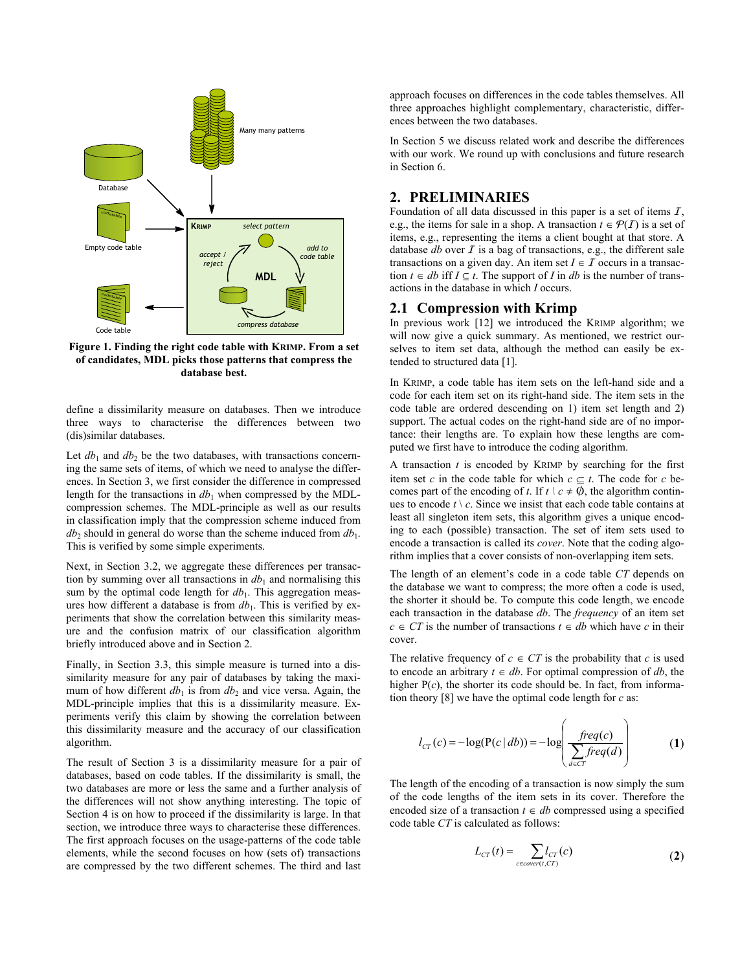

**Figure 1. Finding the right code table with KRIMP. From a set of candidates, MDL picks those patterns that compress the database best.** 

define a dissimilarity measure on databases. Then we introduce three ways to characterise the differences between two (dis)similar databases.

Let  $db_1$  and  $db_2$  be the two databases, with transactions concerning the same sets of items, of which we need to analyse the differences. In Section 3, we first consider the difference in compressed length for the transactions in  $db_1$  when compressed by the MDLcompression schemes. The MDL-principle as well as our results in classification imply that the compression scheme induced from  $db_2$  should in general do worse than the scheme induced from  $db_1$ . This is verified by some simple experiments.

Next, in Section 3.2, we aggregate these differences per transaction by summing over all transactions in  $db_1$  and normalising this sum by the optimal code length for  $db_1$ . This aggregation measures how different a database is from  $db_1$ . This is verified by experiments that show the correlation between this similarity measure and the confusion matrix of our classification algorithm briefly introduced above and in Section 2.

Finally, in Section 3.3, this simple measure is turned into a dissimilarity measure for any pair of databases by taking the maximum of how different  $db_1$  is from  $db_2$  and vice versa. Again, the MDL-principle implies that this is a dissimilarity measure. Experiments verify this claim by showing the correlation between this dissimilarity measure and the accuracy of our classification algorithm.

The result of Section 3 is a dissimilarity measure for a pair of databases, based on code tables. If the dissimilarity is small, the two databases are more or less the same and a further analysis of the differences will not show anything interesting. The topic of Section 4 is on how to proceed if the dissimilarity is large. In that section, we introduce three ways to characterise these differences. The first approach focuses on the usage-patterns of the code table elements, while the second focuses on how (sets of) transactions are compressed by the two different schemes. The third and last

approach focuses on differences in the code tables themselves. All three approaches highlight complementary, characteristic, differences between the two databases.

In Section 5 we discuss related work and describe the differences with our work. We round up with conclusions and future research in Section 6.

## **2. PRELIMINARIES**

Foundation of all data discussed in this paper is a set of items  $I$ , e.g., the items for sale in a shop. A transaction  $t \in \mathcal{P}(I)$  is a set of items, e.g., representing the items a client bought at that store. A database  $db$  over  $I$  is a bag of transactions, e.g., the different sale transactions on a given day. An item set  $I \in \mathcal{I}$  occurs in a transaction  $t \in db$  iff  $I \subseteq t$ . The support of *I* in *db* is the number of transactions in the database in which *I* occurs.

#### **2.1 Compression with Krimp**

In previous work [12] we introduced the KRIMP algorithm; we will now give a quick summary. As mentioned, we restrict ourselves to item set data, although the method can easily be extended to structured data [1].

In KRIMP, a code table has item sets on the left-hand side and a code for each item set on its right-hand side. The item sets in the code table are ordered descending on 1) item set length and 2) support. The actual codes on the right-hand side are of no importance: their lengths are. To explain how these lengths are computed we first have to introduce the coding algorithm.

A transaction *t* is encoded by KRIMP by searching for the first item set *c* in the code table for which  $c \subseteq t$ . The code for *c* becomes part of the encoding of *t*. If  $t \mid c \neq \emptyset$ , the algorithm continues to encode  $t \setminus c$ . Since we insist that each code table contains at least all singleton item sets, this algorithm gives a unique encoding to each (possible) transaction. The set of item sets used to encode a transaction is called its *cover*. Note that the coding algorithm implies that a cover consists of non-overlapping item sets.

The length of an element's code in a code table *CT* depends on the database we want to compress; the more often a code is used, the shorter it should be. To compute this code length, we encode each transaction in the database *db*. The *frequency* of an item set *c* ∈ *CT* is the number of transactions *t* ∈ *db* which have *c* in their cover.

The relative frequency of  $c \in \mathbb{C}$  is the probability that  $c$  is used to encode an arbitrary  $t \in db$ . For optimal compression of *db*, the higher  $P(c)$ , the shorter its code should be. In fact, from information theory [8] we have the optimal code length for *c* as:

$$
l_{cr}(c) = -\log(P(c | db)) = -\log\left(\frac{freq(c)}{\sum\limits_{d \in cr} freq(d)}\right) \tag{1}
$$

The length of the encoding of a transaction is now simply the sum of the code lengths of the item sets in its cover. Therefore the encoded size of a transaction  $t \in db$  compressed using a specified code table *CT* is calculated as follows:

$$
L_{CT}(t) = \sum_{c \in cover(t,CT)} l_{CT}(c)
$$
 (2)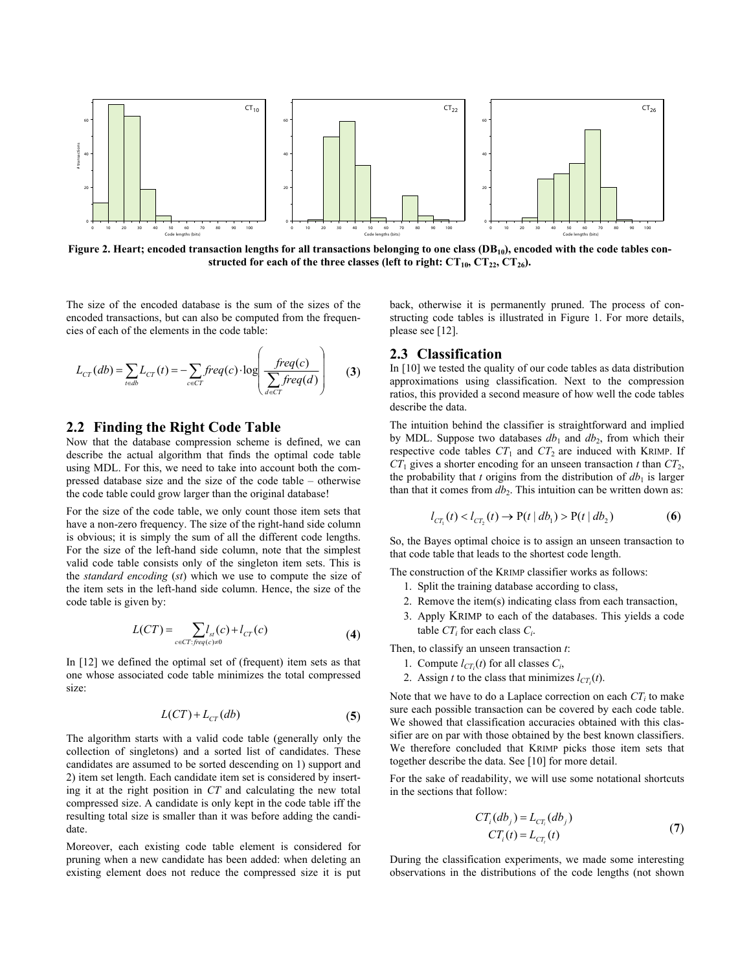

Figure 2. Heart; encoded transaction lengths for all transactions belonging to one class (DB<sub>10</sub>), encoded with the code tables constructed for each of the three classes (left to right:  $CT_{10}$ ,  $CT_{22}$ ,  $CT_{26}$ ).

The size of the encoded database is the sum of the sizes of the encoded transactions, but can also be computed from the frequencies of each of the elements in the code table:

$$
L_{CT}(db) = \sum_{t \in db} L_{CT}(t) = -\sum_{c \in CT} freq(c) \cdot \log \left( \frac freq(c)}{\sum_{d \in CT} freq(d)} \right) \tag{3}
$$

#### **2.2 Finding the Right Code Table**

Now that the database compression scheme is defined, we can describe the actual algorithm that finds the optimal code table using MDL. For this, we need to take into account both the compressed database size and the size of the code table – otherwise the code table could grow larger than the original database!

For the size of the code table, we only count those item sets that have a non-zero frequency. The size of the right-hand side column is obvious; it is simply the sum of all the different code lengths. For the size of the left-hand side column, note that the simplest valid code table consists only of the singleton item sets. This is the *standard encoding* (*st*) which we use to compute the size of the item sets in the left-hand side column. Hence, the size of the code table is given by:

$$
L(CT) = \sum_{c \in CT: freq(c) \neq 0} l_{st}(c) + l_{CT}(c)
$$
\n(4)

In [12] we defined the optimal set of (frequent) item sets as that one whose associated code table minimizes the total compressed size:

$$
L(CT) + L_{CT}(db) \tag{5}
$$

The algorithm starts with a valid code table (generally only the collection of singletons) and a sorted list of candidates. These candidates are assumed to be sorted descending on 1) support and 2) item set length. Each candidate item set is considered by inserting it at the right position in *CT* and calculating the new total compressed size. A candidate is only kept in the code table iff the resulting total size is smaller than it was before adding the candidate.

Moreover, each existing code table element is considered for pruning when a new candidate has been added: when deleting an existing element does not reduce the compressed size it is put back, otherwise it is permanently pruned. The process of constructing code tables is illustrated in Figure 1. For more details, please see [12].

# **2.3 Classification**

In [10] we tested the quality of our code tables as data distribution approximations using classification. Next to the compression ratios, this provided a second measure of how well the code tables describe the data.

The intuition behind the classifier is straightforward and implied by MDL. Suppose two databases  $db_1$  and  $db_2$ , from which their respective code tables  $CT_1$  and  $CT_2$  are induced with KRIMP. If  $CT_1$  gives a shorter encoding for an unseen transaction *t* than  $CT_2$ , the probability that  $t$  origins from the distribution of  $db_1$  is larger than that it comes from  $db_2$ . This intuition can be written down as:

$$
l_{CT_1}(t) < l_{CT_2}(t) \to P(t | db_1) > P(t | db_2)
$$
 (6)

So, the Bayes optimal choice is to assign an unseen transaction to that code table that leads to the shortest code length.

The construction of the KRIMP classifier works as follows:

- 1. Split the training database according to class,
- 2. Remove the item(s) indicating class from each transaction,
- 3. Apply KRIMP to each of the databases. This yields a code table  $CT_i$  for each class  $C_i$ .

Then, to classify an unseen transaction *t*:

- 1. Compute  $l_{CT_i}(t)$  for all classes  $C_i$ ,
- 2. Assign *t* to the class that minimizes  $l_{CT_i}(t)$ .

Note that we have to do a Laplace correction on each  $CT_i$  to make sure each possible transaction can be covered by each code table. We showed that classification accuracies obtained with this classifier are on par with those obtained by the best known classifiers. We therefore concluded that KRIMP picks those item sets that together describe the data. See [10] for more detail.

For the sake of readability, we will use some notational shortcuts in the sections that follow:

$$
CT_i(db_j) = L_{CT_i}(db_j)
$$
  
\n
$$
CT_i(t) = L_{CT_i}(t)
$$
\n(7)

During the classification experiments, we made some interesting observations in the distributions of the code lengths (not shown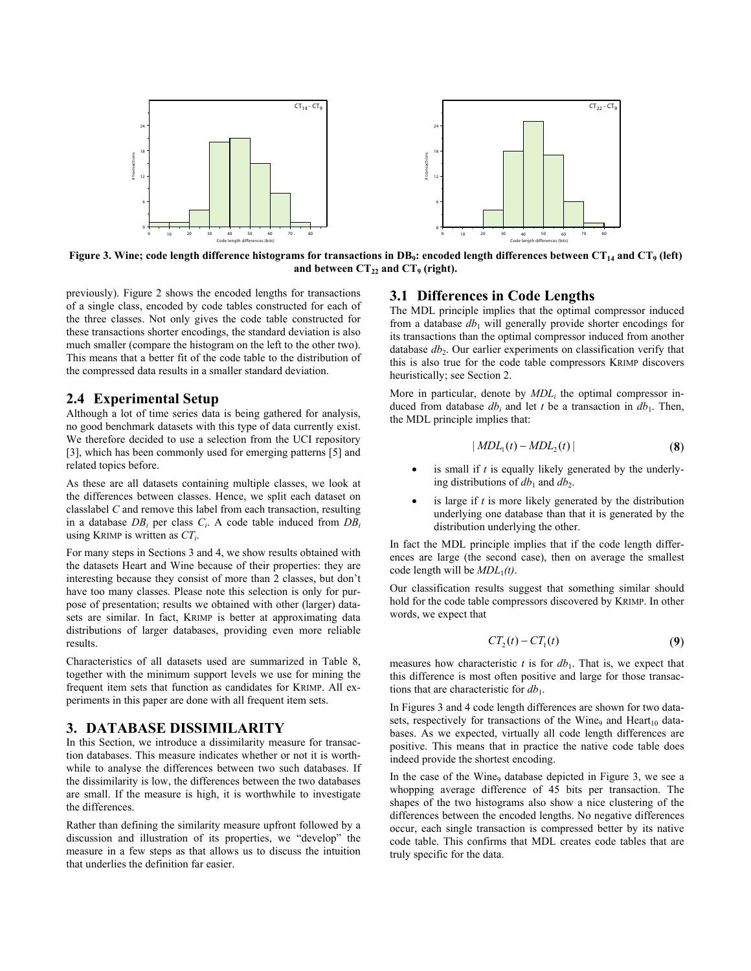

Figure 3. Wine; code length difference histograms for transactions in DB<sub>9</sub>: encoded length differences between CT<sub>14</sub> and CT<sub>9</sub> (left) and between CT<sub>22</sub> and CT<sub>9</sub> (right).

previously). Figure 2 shows the encoded lengths for transactions of a single class, encoded by code tables constructed for each of the three classes. Not only gives the code table constructed for these transactions shorter encodings, the standard deviation is also much smaller (compare the histogram on the left to the other two). This means that a better fit of the code table to the distribution of the compressed data results in a smaller standard deviation.

## **2.4 Experimental Setup**

Although a lot of time series data is being gathered for analysis, no good benchmark datasets with this type of data currently exist. We therefore decided to use a selection from the UCI repository [3], which has been commonly used for emerging patterns [5] and related topics before.

As these are all datasets containing multiple classes, we look at the differences between classes. Hence, we split each dataset on classlabel *C* and remove this label from each transaction, resulting in a database *DBi* per class *Ci*. A code table induced from *DBi* using KRIMP is written as *CTi*.

For many steps in Sections 3 and 4, we show results obtained with the datasets Heart and Wine because of their properties: they are interesting because they consist of more than 2 classes, but don't have too many classes. Please note this selection is only for purpose of presentation; results we obtained with other (larger) datasets are similar. In fact, KRIMP is better at approximating data distributions of larger databases, providing even more reliable results.

Characteristics of all datasets used are summarized in Table 8, together with the minimum support levels we use for mining the frequent item sets that function as candidates for KRIMP. All experiments in this paper are done with all frequent item sets.

# **3. DATABASE DISSIMILARITY**

In this Section, we introduce a dissimilarity measure for transaction databases. This measure indicates whether or not it is worthwhile to analyse the differences between two such databases. If the dissimilarity is low, the differences between the two databases are small. If the measure is high, it is worthwhile to investigate the differences.

Rather than defining the similarity measure upfront followed by a discussion and illustration of its properties, we "develop" the measure in a few steps as that allows us to discuss the intuition that underlies the definition far easier.

# **3.1 Differences in Code Lengths**

The MDL principle implies that the optimal compressor induced from a database  $db_1$  will generally provide shorter encodings for its transactions than the optimal compressor induced from another database  $db_2$ . Our earlier experiments on classification verify that this is also true for the code table compressors KRIMP discovers heuristically; see Section 2.

More in particular, denote by *MDLi* the optimal compressor induced from database  $db_i$  and let *t* be a transaction in  $db_1$ . Then, the MDL principle implies that:

$$
| MDL_1(t) - MDL_2(t) | \qquad (8)
$$

- is small if *t* is equally likely generated by the underlying distributions of  $db_1$  and  $db_2$ .
- is large if  $t$  is more likely generated by the distribution underlying one database than that it is generated by the distribution underlying the other.

In fact the MDL principle implies that if the code length differences are large (the second case), then on average the smallest code length will be  $MDL_1(t)$ .

Our classification results suggest that something similar should hold for the code table compressors discovered by KRIMP. In other words, we expect that

$$
CT_2(t) - CT_1(t) \tag{9}
$$

measures how characteristic  $t$  is for  $db_1$ . That is, we expect that this difference is most often positive and large for those transactions that are characteristic for *db*1.

In Figures 3 and 4 code length differences are shown for two datasets, respectively for transactions of the Wine<sub>9</sub> and Heart<sub>10</sub> databases. As we expected, virtually all code length differences are positive. This means that in practice the native code table does indeed provide the shortest encoding.

In the case of the Wine $_9$  database depicted in Figure 3, we see a whopping average difference of 45 bits per transaction. The shapes of the two histograms also show a nice clustering of the differences between the encoded lengths. No negative differences occur, each single transaction is compressed better by its native code table. This confirms that MDL creates code tables that are truly specific for the data.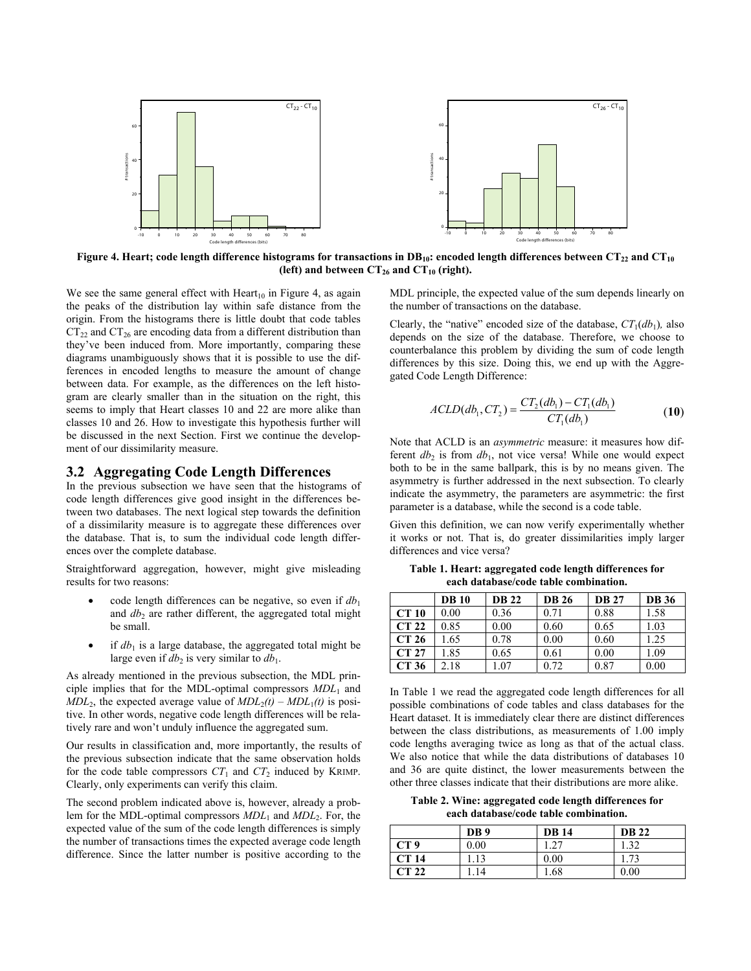

Figure 4. Heart; code length difference histograms for transactions in  $DB_{10}$ : encoded length differences between  $CT_{22}$  and  $CT_{10}$ (left) and between  $CT_{26}$  and  $CT_{10}$  (right).

We see the same general effect with  $Heart<sub>10</sub>$  in Figure 4, as again the peaks of the distribution lay within safe distance from the origin. From the histograms there is little doubt that code tables  $CT_{22}$  and  $CT_{26}$  are encoding data from a different distribution than they've been induced from. More importantly, comparing these diagrams unambiguously shows that it is possible to use the differences in encoded lengths to measure the amount of change between data. For example, as the differences on the left histogram are clearly smaller than in the situation on the right, this seems to imply that Heart classes 10 and 22 are more alike than classes 10 and 26. How to investigate this hypothesis further will be discussed in the next Section. First we continue the development of our dissimilarity measure.

#### **3.2 Aggregating Code Length Differences**

In the previous subsection we have seen that the histograms of code length differences give good insight in the differences between two databases. The next logical step towards the definition of a dissimilarity measure is to aggregate these differences over the database. That is, to sum the individual code length differences over the complete database.

Straightforward aggregation, however, might give misleading results for two reasons:

- code length differences can be negative, so even if  $db_1$ and  $db_2$  are rather different, the aggregated total might be small.
- if  $db_1$  is a large database, the aggregated total might be large even if  $db_2$  is very similar to  $db_1$ .

As already mentioned in the previous subsection, the MDL principle implies that for the MDL-optimal compressors *MDL*1 and  $MDL<sub>2</sub>$ , the expected average value of  $MDL<sub>2</sub>(t) - MDL<sub>1</sub>(t)$  is positive. In other words, negative code length differences will be relatively rare and won't unduly influence the aggregated sum.

Our results in classification and, more importantly, the results of the previous subsection indicate that the same observation holds for the code table compressors  $CT_1$  and  $CT_2$  induced by KRIMP. Clearly, only experiments can verify this claim.

The second problem indicated above is, however, already a problem for the MDL-optimal compressors  $MDL_1$  and  $MDL_2$ . For, the expected value of the sum of the code length differences is simply the number of transactions times the expected average code length difference. Since the latter number is positive according to the MDL principle, the expected value of the sum depends linearly on the number of transactions on the database.

Clearly, the "native" encoded size of the database,  $CT_1(db_1)$ , also depends on the size of the database. Therefore, we choose to counterbalance this problem by dividing the sum of code length differences by this size. Doing this, we end up with the Aggregated Code Length Difference:

$$
ACLD(db_1, CT_2) = \frac{CT_2(db_1) - CT_1(db_1)}{CT_1(db_1)}
$$
(10)

Note that ACLD is an *asymmetric* measure: it measures how different  $db_2$  is from  $db_1$ , not vice versa! While one would expect both to be in the same ballpark, this is by no means given. The asymmetry is further addressed in the next subsection. To clearly indicate the asymmetry, the parameters are asymmetric: the first parameter is a database, while the second is a code table.

Given this definition, we can now verify experimentally whether it works or not. That is, do greater dissimilarities imply larger differences and vice versa?

**Table 1. Heart: aggregated code length differences for each database/code table combination.** 

|              | <b>DB</b> 10 | <b>DB 22</b> | <b>DB</b> 26 | <b>DB 27</b> | <b>DB</b> 36 |
|--------------|--------------|--------------|--------------|--------------|--------------|
| <b>CT 10</b> | 0.00         | 0.36         | 0.71         | 0.88         | 1.58         |
| CT 22        | 0.85         | 0.00         | 0.60         | 0.65         | 1.03         |
| CT 26        | 1.65         | 0.78         | 0.00         | 0.60         | 1.25         |
| CT 27        | 1.85         | 0.65         | 0.61         | 0.00         | 1.09         |
| CT 36        | 2.18         | $\pm 07$     | 0.72         | 0.87         | 0.00         |

In Table 1 we read the aggregated code length differences for all possible combinations of code tables and class databases for the Heart dataset. It is immediately clear there are distinct differences between the class distributions, as measurements of 1.00 imply code lengths averaging twice as long as that of the actual class. We also notice that while the data distributions of databases 10 and 36 are quite distinct, the lower measurements between the other three classes indicate that their distributions are more alike.

**Table 2. Wine: aggregated code length differences for each database/code table combination.** 

|                 | DB <sub>9</sub> | <b>DB</b> 14 | <b>DB</b> 22 |
|-----------------|-----------------|--------------|--------------|
| CT <sub>9</sub> | 0.00            | 1.27         | 1.32         |
| <b>CT 14</b>    | l.13            | 0.00         | 1.73         |
| CT 22           | 14              | 1.68         | 0.00         |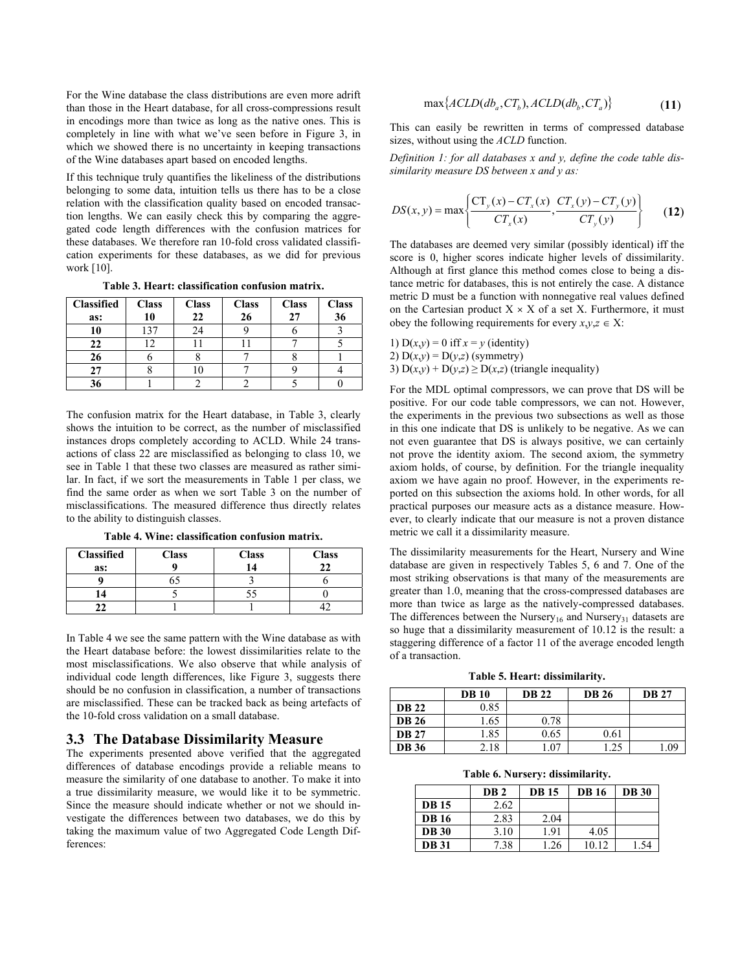For the Wine database the class distributions are even more adrift than those in the Heart database, for all cross-compressions result in encodings more than twice as long as the native ones. This is completely in line with what we've seen before in Figure 3, in which we showed there is no uncertainty in keeping transactions of the Wine databases apart based on encoded lengths.

If this technique truly quantifies the likeliness of the distributions belonging to some data, intuition tells us there has to be a close relation with the classification quality based on encoded transaction lengths. We can easily check this by comparing the aggregated code length differences with the confusion matrices for these databases. We therefore ran 10-fold cross validated classification experiments for these databases, as we did for previous work [10].

**Table 3. Heart: classification confusion matrix.** 

| <b>Classified</b> | <b>Class</b> | <b>Class</b> | <b>Class</b> | <b>Class</b> | <b>Class</b> |
|-------------------|--------------|--------------|--------------|--------------|--------------|
| as:               | 10           | 22           | 26           | 27           | 36           |
| 10                | 137          | 24           |              |              |              |
| 22                | 12           |              |              |              |              |
| 26                |              |              |              |              |              |
| 27                |              |              |              |              |              |
| 36                |              |              |              |              |              |

The confusion matrix for the Heart database, in Table 3, clearly shows the intuition to be correct, as the number of misclassified instances drops completely according to ACLD. While 24 transactions of class 22 are misclassified as belonging to class 10, we see in Table 1 that these two classes are measured as rather similar. In fact, if we sort the measurements in Table 1 per class, we find the same order as when we sort Table 3 on the number of misclassifications. The measured difference thus directly relates to the ability to distinguish classes.

| <b>Classified</b> | <b>Class</b> | <b>Class</b> |  |
|-------------------|--------------|--------------|--|
| as:               |              |              |  |
|                   |              |              |  |
|                   |              |              |  |
|                   |              |              |  |

**Table 4. Wine: classification confusion matrix.** 

In Table 4 we see the same pattern with the Wine database as with the Heart database before: the lowest dissimilarities relate to the most misclassifications. We also observe that while analysis of individual code length differences, like Figure 3, suggests there should be no confusion in classification, a number of transactions are misclassified. These can be tracked back as being artefacts of the 10-fold cross validation on a small database.

#### **3.3 The Database Dissimilarity Measure**

The experiments presented above verified that the aggregated differences of database encodings provide a reliable means to measure the similarity of one database to another. To make it into a true dissimilarity measure, we would like it to be symmetric. Since the measure should indicate whether or not we should investigate the differences between two databases, we do this by taking the maximum value of two Aggregated Code Length Differences:

$$
\max\{ACLD(db_a, CT_b), ACLD(db_b, CT_a)\}\tag{11}
$$

This can easily be rewritten in terms of compressed database sizes, without using the *ACLD* function.

*Definition 1: for all databases x and y, define the code table dissimilarity measure DS between x and y as:* 

$$
DS(x, y) = \max \left\{ \frac{CT_{y}(x) - CT_{x}(x)}{CT_{x}(x)}, \frac{CT_{x}(y) - CT_{y}(y)}{CT_{y}(y)} \right\}
$$
(12)

The databases are deemed very similar (possibly identical) iff the score is 0, higher scores indicate higher levels of dissimilarity. Although at first glance this method comes close to being a distance metric for databases, this is not entirely the case. A distance metric D must be a function with nonnegative real values defined on the Cartesian product  $X \times X$  of a set X. Furthermore, it must obey the following requirements for every  $x, y, z \in X$ :

1)  $D(x,y) = 0$  iff  $x = y$  (identity) 2)  $D(x,y) = D(y,z)$  (symmetry) 3)  $D(x,y) + D(y,z) \ge D(x,z)$  (triangle inequality)

For the MDL optimal compressors, we can prove that DS will be positive. For our code table compressors, we can not. However, the experiments in the previous two subsections as well as those in this one indicate that DS is unlikely to be negative. As we can not even guarantee that DS is always positive, we can certainly not prove the identity axiom. The second axiom, the symmetry axiom holds, of course, by definition. For the triangle inequality axiom we have again no proof. However, in the experiments reported on this subsection the axioms hold. In other words, for all practical purposes our measure acts as a distance measure. However, to clearly indicate that our measure is not a proven distance metric we call it a dissimilarity measure.

The dissimilarity measurements for the Heart, Nursery and Wine database are given in respectively Tables 5, 6 and 7. One of the most striking observations is that many of the measurements are greater than 1.0, meaning that the cross-compressed databases are more than twice as large as the natively-compressed databases. The differences between the Nursery<sub>16</sub> and Nursery<sub>31</sub> datasets are so huge that a dissimilarity measurement of 10.12 is the result: a staggering difference of a factor 11 of the average encoded length of a transaction.

**Table 5. Heart: dissimilarity.** 

|              | <b>DB</b> 10 | <b>DB 22</b> | <b>DB</b> 26 | <b>DB</b> 27 |
|--------------|--------------|--------------|--------------|--------------|
| <b>DB 22</b> | 0.85         |              |              |              |
| <b>DB</b> 26 | 1.65         | 0.78         |              |              |
| <b>DB</b> 27 | l.85         | 0.65         | 0.61         |              |
| <b>DB</b> 36 | 2.18         | l.07         | .25          | - 09         |

**Table 6. Nursery: dissimilarity.** 

|              | DB <sub>2</sub> | <b>DB</b> 15 | <b>DB</b> 16 | <b>DB</b> 30 |
|--------------|-----------------|--------------|--------------|--------------|
| <b>DB</b> 15 | 2.62            |              |              |              |
| <b>DB</b> 16 | 2.83            | 2.04         |              |              |
| <b>DB</b> 30 | 3.10            | 1.91         | 4.05         |              |
| <b>DB</b> 31 | 7.38            | 1.26         | 10.12        | -54          |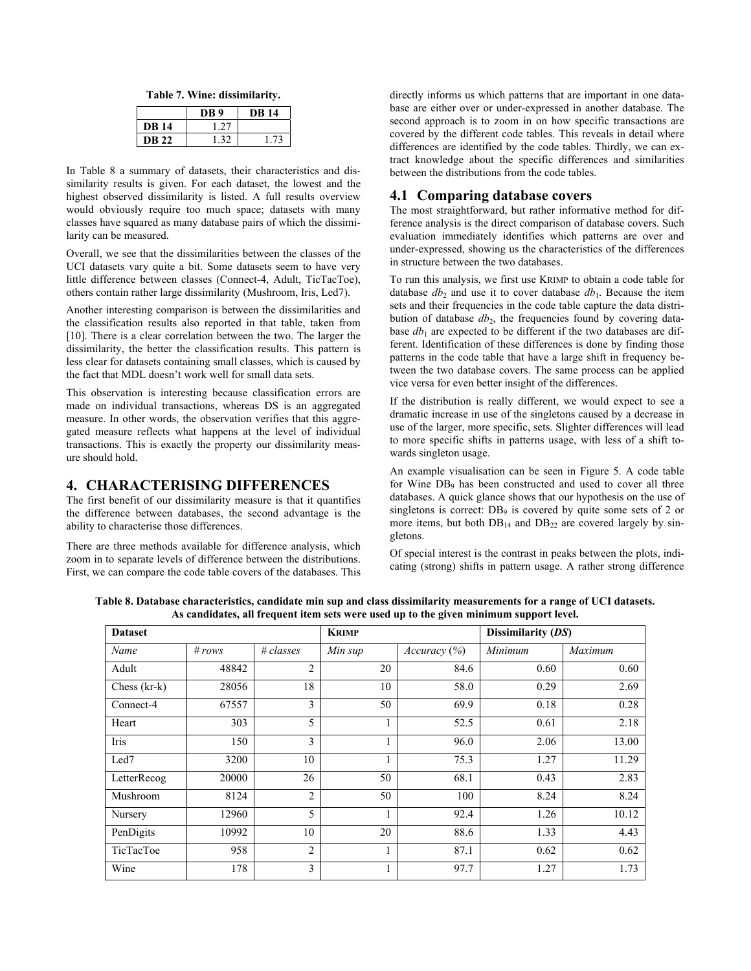**Table 7. Wine: dissimilarity.** 

|              | DB 9 | DB 14 |
|--------------|------|-------|
| <b>DB</b> 14 | ・つつ  |       |
| <b>DB 22</b> | - 32 | I 74  |

In Table 8 a summary of datasets, their characteristics and dissimilarity results is given. For each dataset, the lowest and the highest observed dissimilarity is listed. A full results overview would obviously require too much space; datasets with many classes have squared as many database pairs of which the dissimilarity can be measured.

Overall, we see that the dissimilarities between the classes of the UCI datasets vary quite a bit. Some datasets seem to have very little difference between classes (Connect-4, Adult, TicTacToe), others contain rather large dissimilarity (Mushroom, Iris, Led7).

Another interesting comparison is between the dissimilarities and the classification results also reported in that table, taken from [10]. There is a clear correlation between the two. The larger the dissimilarity, the better the classification results. This pattern is less clear for datasets containing small classes, which is caused by the fact that MDL doesn't work well for small data sets.

This observation is interesting because classification errors are made on individual transactions, whereas DS is an aggregated measure. In other words, the observation verifies that this aggregated measure reflects what happens at the level of individual transactions. This is exactly the property our dissimilarity measure should hold.

# **4. CHARACTERISING DIFFERENCES**

The first benefit of our dissimilarity measure is that it quantifies the difference between databases, the second advantage is the ability to characterise those differences.

There are three methods available for difference analysis, which zoom in to separate levels of difference between the distributions. First, we can compare the code table covers of the databases. This directly informs us which patterns that are important in one database are either over or under-expressed in another database. The second approach is to zoom in on how specific transactions are covered by the different code tables. This reveals in detail where differences are identified by the code tables. Thirdly, we can extract knowledge about the specific differences and similarities between the distributions from the code tables.

## **4.1 Comparing database covers**

The most straightforward, but rather informative method for difference analysis is the direct comparison of database covers. Such evaluation immediately identifies which patterns are over and under-expressed, showing us the characteristics of the differences in structure between the two databases.

To run this analysis, we first use KRIMP to obtain a code table for database  $db_2$  and use it to cover database  $db_1$ . Because the item sets and their frequencies in the code table capture the data distribution of database  $db_2$ , the frequencies found by covering database  $db_1$  are expected to be different if the two databases are different. Identification of these differences is done by finding those patterns in the code table that have a large shift in frequency between the two database covers. The same process can be applied vice versa for even better insight of the differences.

If the distribution is really different, we would expect to see a dramatic increase in use of the singletons caused by a decrease in use of the larger, more specific, sets. Slighter differences will lead to more specific shifts in patterns usage, with less of a shift towards singleton usage.

An example visualisation can be seen in Figure 5. A code table for Wine DB<sub>9</sub> has been constructed and used to cover all three databases. A quick glance shows that our hypothesis on the use of singletons is correct:  $DB_9$  is covered by quite some sets of 2 or more items, but both  $DB_{14}$  and  $DB_{22}$  are covered largely by singletons.

Of special interest is the contrast in peaks between the plots, indicating (strong) shifts in pattern usage. A rather strong difference

|                |          |                |         |                    | . .     |         |
|----------------|----------|----------------|---------|--------------------|---------|---------|
| <b>Dataset</b> |          | <b>KRIMP</b>   |         | Dissimilarity (DS) |         |         |
| Name           | # $rows$ | # classes      | Min sup | Accuracy (%)       | Minimum | Maximum |
| Adult          | 48842    | $\overline{2}$ | 20      | 84.6               | 0.60    | 0.60    |
| Chess (kr-k)   | 28056    | 18             | 10      | 58.0               | 0.29    | 2.69    |
| Connect-4      | 67557    | 3              | 50      | 69.9               | 0.18    | 0.28    |
| Heart          | 303      | 5              |         | 52.5               | 0.61    | 2.18    |
| Iris           | 150      | 3              |         | 96.0               | 2.06    | 13.00   |
| Led7           | 3200     | 10             |         | 75.3               | 1.27    | 11.29   |
| LetterRecog    | 20000    | 26             | 50      | 68.1               | 0.43    | 2.83    |
| Mushroom       | 8124     | $\overline{2}$ | 50      | 100                | 8.24    | 8.24    |
| Nursery        | 12960    | 5              |         | 92.4               | 1.26    | 10.12   |
| PenDigits      | 10992    | 10             | 20      | 88.6               | 1.33    | 4.43    |
| TicTacToe      | 958      | $\overline{2}$ |         | 87.1               | 0.62    | 0.62    |
| Wine           | 178      | 3              |         | 97.7               | 1.27    | 1.73    |

**Table 8. Database characteristics, candidate min sup and class dissimilarity measurements for a range of UCI datasets. As candidates, all frequent item sets were used up to the given minimum support level.**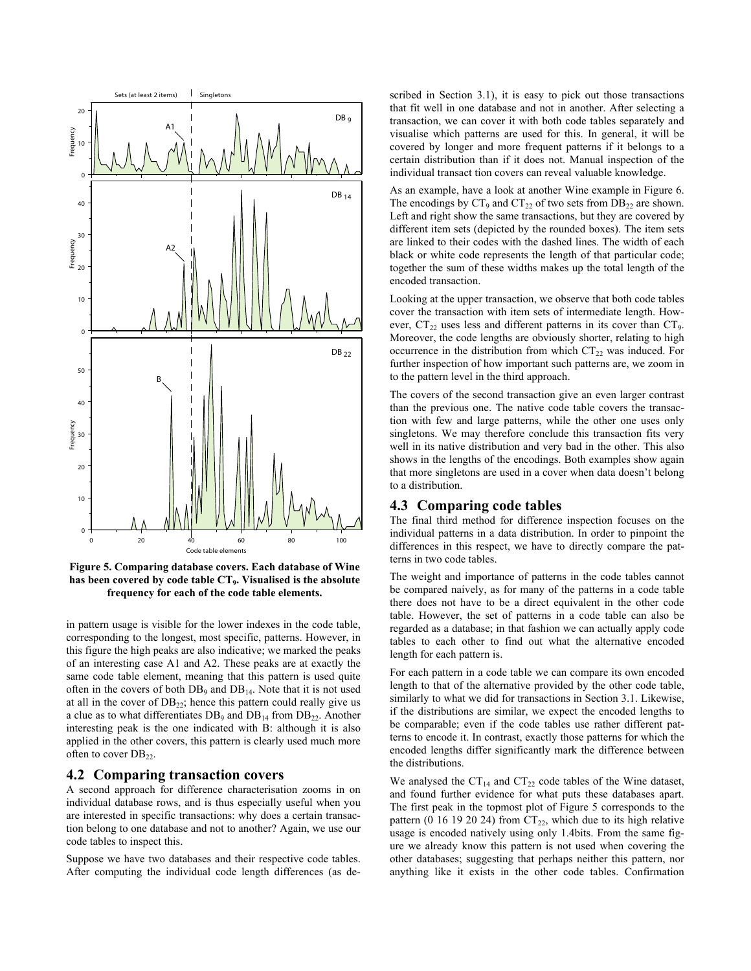

**Figure 5. Comparing database covers. Each database of Wine has been covered by code table CT9. Visualised is the absolute frequency for each of the code table elements.** 

in pattern usage is visible for the lower indexes in the code table, corresponding to the longest, most specific, patterns. However, in this figure the high peaks are also indicative; we marked the peaks of an interesting case A1 and A2. These peaks are at exactly the same code table element, meaning that this pattern is used quite often in the covers of both  $DB_9$  and  $DB_{14}$ . Note that it is not used at all in the cover of  $DB_{22}$ ; hence this pattern could really give us a clue as to what differentiates  $DB_9$  and  $DB_{14}$  from  $DB_{22}$ . Another interesting peak is the one indicated with B: although it is also applied in the other covers, this pattern is clearly used much more often to cover DB<sub>22</sub>.

#### **4.2 Comparing transaction covers**

A second approach for difference characterisation zooms in on individual database rows, and is thus especially useful when you are interested in specific transactions: why does a certain transaction belong to one database and not to another? Again, we use our code tables to inspect this.

Suppose we have two databases and their respective code tables. After computing the individual code length differences (as described in Section 3.1), it is easy to pick out those transactions that fit well in one database and not in another. After selecting a transaction, we can cover it with both code tables separately and visualise which patterns are used for this. In general, it will be covered by longer and more frequent patterns if it belongs to a certain distribution than if it does not. Manual inspection of the individual transact tion covers can reveal valuable knowledge.

As an example, have a look at another Wine example in Figure 6. The encodings by  $CT_9$  and  $CT_{22}$  of two sets from  $DB_{22}$  are shown. Left and right show the same transactions, but they are covered by different item sets (depicted by the rounded boxes). The item sets are linked to their codes with the dashed lines. The width of each black or white code represents the length of that particular code; together the sum of these widths makes up the total length of the encoded transaction.

Looking at the upper transaction, we observe that both code tables cover the transaction with item sets of intermediate length. However,  $CT_{22}$  uses less and different patterns in its cover than  $CT_9$ . Moreover, the code lengths are obviously shorter, relating to high occurrence in the distribution from which  $CT_{22}$  was induced. For further inspection of how important such patterns are, we zoom in to the pattern level in the third approach.

The covers of the second transaction give an even larger contrast than the previous one. The native code table covers the transaction with few and large patterns, while the other one uses only singletons. We may therefore conclude this transaction fits very well in its native distribution and very bad in the other. This also shows in the lengths of the encodings. Both examples show again that more singletons are used in a cover when data doesn't belong to a distribution.

## **4.3 Comparing code tables**

The final third method for difference inspection focuses on the individual patterns in a data distribution. In order to pinpoint the differences in this respect, we have to directly compare the patterns in two code tables.

The weight and importance of patterns in the code tables cannot be compared naively, as for many of the patterns in a code table there does not have to be a direct equivalent in the other code table. However, the set of patterns in a code table can also be regarded as a database; in that fashion we can actually apply code tables to each other to find out what the alternative encoded length for each pattern is.

For each pattern in a code table we can compare its own encoded length to that of the alternative provided by the other code table, similarly to what we did for transactions in Section 3.1. Likewise, if the distributions are similar, we expect the encoded lengths to be comparable; even if the code tables use rather different patterns to encode it. In contrast, exactly those patterns for which the encoded lengths differ significantly mark the difference between the distributions.

We analysed the  $CT_{14}$  and  $CT_{22}$  code tables of the Wine dataset, and found further evidence for what puts these databases apart. The first peak in the topmost plot of Figure 5 corresponds to the pattern (0 16 19 20 24) from  $CT_{22}$ , which due to its high relative usage is encoded natively using only 1.4bits. From the same figure we already know this pattern is not used when covering the other databases; suggesting that perhaps neither this pattern, nor anything like it exists in the other code tables. Confirmation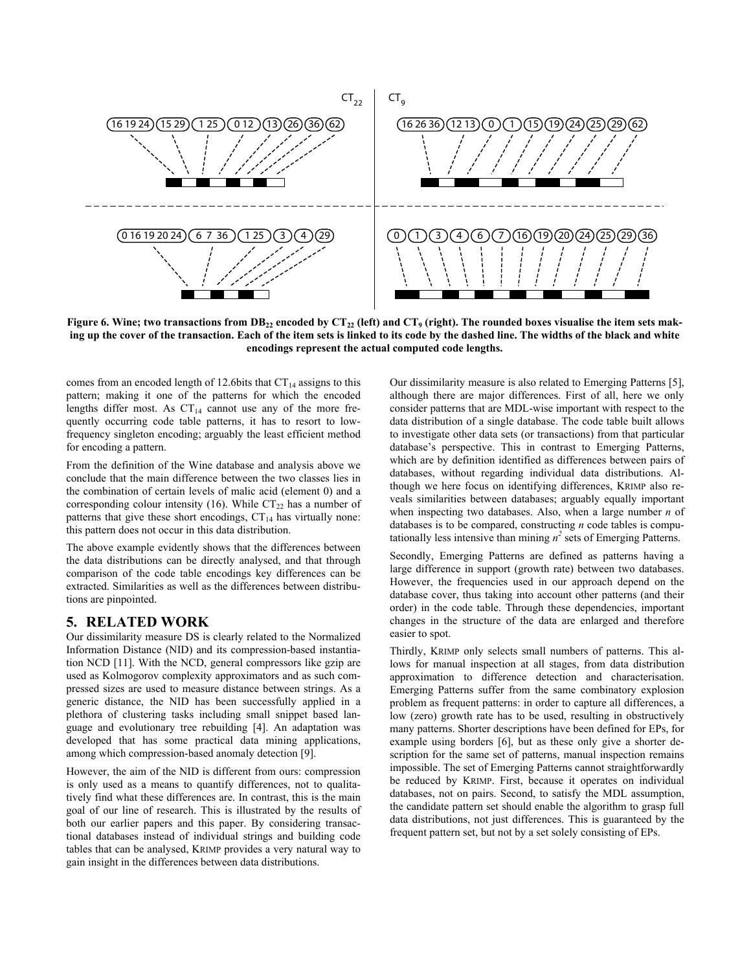

Figure 6. Wine; two transactions from  $DB_{22}$  encoded by  $CT_{22}$  (left) and  $CT_9$  (right). The rounded boxes visualise the item sets mak**ing up the cover of the transaction. Each of the item sets is linked to its code by the dashed line. The widths of the black and white encodings represent the actual computed code lengths.** 

comes from an encoded length of 12.6bits that  $CT_{14}$  assigns to this pattern; making it one of the patterns for which the encoded lengths differ most. As  $CT_{14}$  cannot use any of the more frequently occurring code table patterns, it has to resort to lowfrequency singleton encoding; arguably the least efficient method for encoding a pattern.

From the definition of the Wine database and analysis above we conclude that the main difference between the two classes lies in the combination of certain levels of malic acid (element 0) and a corresponding colour intensity (16). While  $CT_{22}$  has a number of patterns that give these short encodings,  $CT_{14}$  has virtually none: this pattern does not occur in this data distribution.

The above example evidently shows that the differences between the data distributions can be directly analysed, and that through comparison of the code table encodings key differences can be extracted. Similarities as well as the differences between distributions are pinpointed.

## **5. RELATED WORK**

Our dissimilarity measure DS is clearly related to the Normalized Information Distance (NID) and its compression-based instantiation NCD [11]. With the NCD, general compressors like gzip are used as Kolmogorov complexity approximators and as such compressed sizes are used to measure distance between strings. As a generic distance, the NID has been successfully applied in a plethora of clustering tasks including small snippet based language and evolutionary tree rebuilding [4]. An adaptation was developed that has some practical data mining applications, among which compression-based anomaly detection [9].

However, the aim of the NID is different from ours: compression is only used as a means to quantify differences, not to qualitatively find what these differences are. In contrast, this is the main goal of our line of research. This is illustrated by the results of both our earlier papers and this paper. By considering transactional databases instead of individual strings and building code tables that can be analysed, KRIMP provides a very natural way to gain insight in the differences between data distributions.

Our dissimilarity measure is also related to Emerging Patterns [5], although there are major differences. First of all, here we only consider patterns that are MDL-wise important with respect to the data distribution of a single database. The code table built allows to investigate other data sets (or transactions) from that particular database's perspective. This in contrast to Emerging Patterns, which are by definition identified as differences between pairs of databases, without regarding individual data distributions. Although we here focus on identifying differences, KRIMP also reveals similarities between databases; arguably equally important when inspecting two databases. Also, when a large number *n* of databases is to be compared, constructing *n* code tables is computationally less intensive than mining  $n^2$  sets of Emerging Patterns.

Secondly, Emerging Patterns are defined as patterns having a large difference in support (growth rate) between two databases. However, the frequencies used in our approach depend on the database cover, thus taking into account other patterns (and their order) in the code table. Through these dependencies, important changes in the structure of the data are enlarged and therefore easier to spot.

Thirdly, KRIMP only selects small numbers of patterns. This allows for manual inspection at all stages, from data distribution approximation to difference detection and characterisation. Emerging Patterns suffer from the same combinatory explosion problem as frequent patterns: in order to capture all differences, a low (zero) growth rate has to be used, resulting in obstructively many patterns. Shorter descriptions have been defined for EPs, for example using borders [6], but as these only give a shorter description for the same set of patterns, manual inspection remains impossible. The set of Emerging Patterns cannot straightforwardly be reduced by KRIMP. First, because it operates on individual databases, not on pairs. Second, to satisfy the MDL assumption, the candidate pattern set should enable the algorithm to grasp full data distributions, not just differences. This is guaranteed by the frequent pattern set, but not by a set solely consisting of EPs.